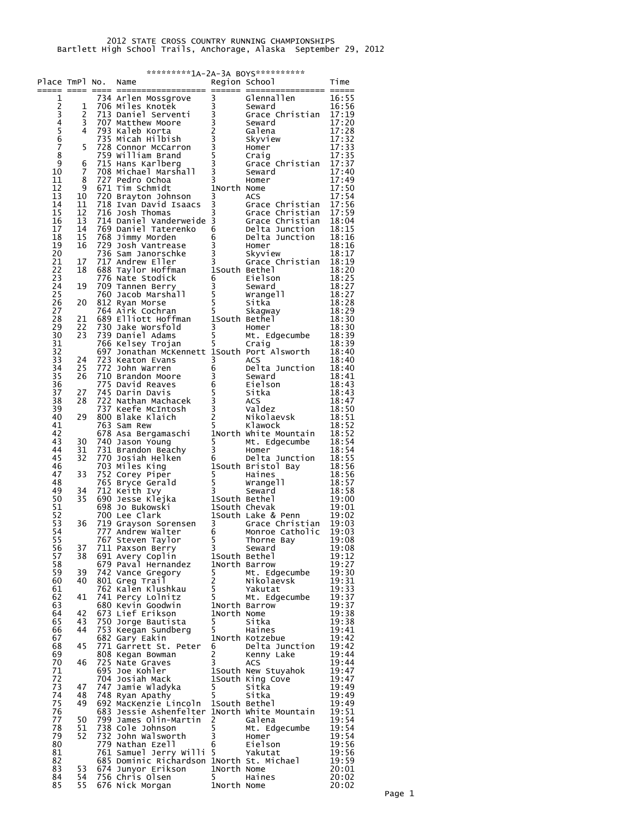|          |          | **********1A-2A-3A BOYS***********<br>Region School<br>Time<br>Place TmPl No.<br>Name |                                                                                                                                                                                                                                                              |                                  |                                                                                                                                        |                |  |  |  |  |
|----------|----------|---------------------------------------------------------------------------------------|--------------------------------------------------------------------------------------------------------------------------------------------------------------------------------------------------------------------------------------------------------------|----------------------------------|----------------------------------------------------------------------------------------------------------------------------------------|----------------|--|--|--|--|
|          |          |                                                                                       | Continues<br>Controller and the magnitude of the same state of the same state of the same state of the same state of the same state of the same state of the same state of the same state of the same state of the same state of                             |                                  |                                                                                                                                        |                |  |  |  |  |
| 1        | 1        |                                                                                       |                                                                                                                                                                                                                                                              |                                  |                                                                                                                                        | 16:55<br>16:56 |  |  |  |  |
|          | 2        |                                                                                       |                                                                                                                                                                                                                                                              |                                  | Grace Christian 17:19                                                                                                                  |                |  |  |  |  |
| 234567   | 3        |                                                                                       |                                                                                                                                                                                                                                                              |                                  |                                                                                                                                        | 17:20          |  |  |  |  |
|          | 4        |                                                                                       |                                                                                                                                                                                                                                                              |                                  |                                                                                                                                        | 17:28<br>17:32 |  |  |  |  |
|          | 5        |                                                                                       |                                                                                                                                                                                                                                                              |                                  |                                                                                                                                        | 17:33          |  |  |  |  |
| 8<br>9   | 6        |                                                                                       |                                                                                                                                                                                                                                                              |                                  |                                                                                                                                        | 17:35<br>17:37 |  |  |  |  |
| 10       | 7        |                                                                                       |                                                                                                                                                                                                                                                              |                                  |                                                                                                                                        | 17:40          |  |  |  |  |
| 11       | 8        |                                                                                       |                                                                                                                                                                                                                                                              |                                  |                                                                                                                                        | 17:49          |  |  |  |  |
| 12<br>13 | 9<br>10  |                                                                                       |                                                                                                                                                                                                                                                              |                                  |                                                                                                                                        | 17:50<br>17:54 |  |  |  |  |
| 14       | 11       |                                                                                       | ACS<br>16 Josh Thomas<br>16 Josh Thomas<br>1714 Daniel Vanderweide 3<br>174 Daniel Vanderweide 3<br>1769 Daniel Taterenko 6<br>1768 Jimmy Morden<br>1789 Josh Vantrease<br>179 Josh Vantrease<br>1796 Sam Janorschke 3<br>1776 Nate Stodick<br>1888          |                                  |                                                                                                                                        | 17:56          |  |  |  |  |
| 15<br>16 | 12<br>13 |                                                                                       |                                                                                                                                                                                                                                                              |                                  |                                                                                                                                        | 17:59<br>18:04 |  |  |  |  |
| 17       | 14       |                                                                                       |                                                                                                                                                                                                                                                              |                                  |                                                                                                                                        | 18:15          |  |  |  |  |
| 18<br>19 | 15<br>16 |                                                                                       |                                                                                                                                                                                                                                                              |                                  |                                                                                                                                        | 18:16<br>18:16 |  |  |  |  |
| 20       |          |                                                                                       |                                                                                                                                                                                                                                                              |                                  |                                                                                                                                        | 18:17          |  |  |  |  |
| 21       | 17       |                                                                                       | For Sammon Summary<br>The Andrew Eller<br>The Sammon Summary<br>The Sammon Summary<br>The Sammon Servey 3<br>Seward<br>The Sammon Seward<br>Seward<br>Seward<br>Sexarch<br>Sexarch<br>The Summary<br>Sexarch<br>The Summary<br>The Sammon Sexarch<br>The Sam |                                  | Grace Christian 18:19                                                                                                                  |                |  |  |  |  |
| 22<br>23 | 18       |                                                                                       |                                                                                                                                                                                                                                                              |                                  | 18:20<br>Eielson 18:25<br>Seward 18:27<br>wrangell 18:27<br>Sitka 18:27<br>Skagway 18:29<br>Bethel 18:30<br>Homer 18:30<br>Homer 18:30 | 18:20          |  |  |  |  |
| 24       | 19       |                                                                                       |                                                                                                                                                                                                                                                              |                                  |                                                                                                                                        |                |  |  |  |  |
| 25<br>26 | 20       |                                                                                       |                                                                                                                                                                                                                                                              |                                  |                                                                                                                                        |                |  |  |  |  |
| 27       |          |                                                                                       |                                                                                                                                                                                                                                                              |                                  |                                                                                                                                        |                |  |  |  |  |
| 28       | 21       |                                                                                       |                                                                                                                                                                                                                                                              |                                  |                                                                                                                                        |                |  |  |  |  |
| 29<br>30 | 22<br>23 |                                                                                       |                                                                                                                                                                                                                                                              |                                  |                                                                                                                                        | 18:39          |  |  |  |  |
| 31       |          |                                                                                       |                                                                                                                                                                                                                                                              |                                  |                                                                                                                                        | 18:39          |  |  |  |  |
| 32<br>33 | 24       |                                                                                       | 697 Jonathan McKennett 1South Port Alsworth                                                                                                                                                                                                                  |                                  |                                                                                                                                        | 18:40          |  |  |  |  |
| 34       | 25.      |                                                                                       |                                                                                                                                                                                                                                                              |                                  |                                                                                                                                        |                |  |  |  |  |
| 35       | 26       |                                                                                       |                                                                                                                                                                                                                                                              |                                  |                                                                                                                                        |                |  |  |  |  |
| 36<br>37 | 27       |                                                                                       |                                                                                                                                                                                                                                                              |                                  |                                                                                                                                        |                |  |  |  |  |
| 38       | 28       |                                                                                       |                                                                                                                                                                                                                                                              |                                  |                                                                                                                                        |                |  |  |  |  |
| 39<br>40 | 29       |                                                                                       |                                                                                                                                                                                                                                                              |                                  |                                                                                                                                        |                |  |  |  |  |
| 41       |          |                                                                                       | For the set in Unit of the same of the same of the same of the same of the same of the same of the same of the same of the same of the same of the same of the same of the same of the same of the same of the same of the sam                               |                                  |                                                                                                                                        |                |  |  |  |  |
| 42<br>43 | 30       |                                                                                       |                                                                                                                                                                                                                                                              |                                  |                                                                                                                                        |                |  |  |  |  |
| 44       | 31       |                                                                                       |                                                                                                                                                                                                                                                              |                                  |                                                                                                                                        |                |  |  |  |  |
| 45       | 32       |                                                                                       |                                                                                                                                                                                                                                                              |                                  |                                                                                                                                        |                |  |  |  |  |
| 46<br>47 | 33       |                                                                                       |                                                                                                                                                                                                                                                              |                                  |                                                                                                                                        |                |  |  |  |  |
| 48       |          |                                                                                       |                                                                                                                                                                                                                                                              |                                  |                                                                                                                                        |                |  |  |  |  |
| 49<br>50 | 34<br>35 |                                                                                       |                                                                                                                                                                                                                                                              |                                  |                                                                                                                                        |                |  |  |  |  |
| 51       |          |                                                                                       |                                                                                                                                                                                                                                                              |                                  |                                                                                                                                        |                |  |  |  |  |
| 52<br>53 | 36       |                                                                                       |                                                                                                                                                                                                                                                              |                                  |                                                                                                                                        |                |  |  |  |  |
| 54       |          |                                                                                       | 777 Andrew Walter                                                                                                                                                                                                                                            | 6                                | Monroe Catholic                                                                                                                        | 19:03          |  |  |  |  |
| 55<br>56 | 37       |                                                                                       | 767 Steven Taylor<br>711 Paxson Berry                                                                                                                                                                                                                        | 5 <sup>1</sup><br>$\overline{3}$ | Thorne Bay<br>Seward                                                                                                                   | 19:08<br>19:08 |  |  |  |  |
| 57       | 38       |                                                                                       | Seward<br>679 Paval Hernandez 1 ISouth Bethel<br>742 Vance Gregory                                                                                                                                                                                           |                                  |                                                                                                                                        | 19:12          |  |  |  |  |
| 58       |          |                                                                                       |                                                                                                                                                                                                                                                              |                                  | Mt. Edgecumbe                                                                                                                          | 19:27          |  |  |  |  |
| 59<br>60 | 39<br>40 |                                                                                       |                                                                                                                                                                                                                                                              |                                  |                                                                                                                                        | 19:30<br>19:31 |  |  |  |  |
| 61       |          |                                                                                       |                                                                                                                                                                                                                                                              |                                  |                                                                                                                                        | 19:33          |  |  |  |  |
| 62<br>63 | 41       |                                                                                       | 680 Kevin Goodwin                                                                                                                                                                                                                                            |                                  |                                                                                                                                        | 19:37<br>19:37 |  |  |  |  |
| 64       | 42       |                                                                                       | 673 Lief Erikson                                                                                                                                                                                                                                             |                                  | -<br>1North Barrow<br>1North Nome                                                                                                      | 19:38          |  |  |  |  |
| 65<br>66 | 43<br>44 |                                                                                       |                                                                                                                                                                                                                                                              |                                  |                                                                                                                                        | 19:38<br>19:41 |  |  |  |  |
| 67       |          |                                                                                       |                                                                                                                                                                                                                                                              |                                  | rth Kotzebue<br>Delta Junction                                                                                                         | 19:42          |  |  |  |  |
| 68       | 45       |                                                                                       | 771 Garrett St. Peter 6                                                                                                                                                                                                                                      |                                  |                                                                                                                                        | 19:42          |  |  |  |  |
| 69<br>70 | 46       |                                                                                       |                                                                                                                                                                                                                                                              |                                  | Kenny Lake                                                                                                                             | 19:44<br>19:44 |  |  |  |  |
| 71       |          |                                                                                       | Example 1 and 2 and 2 and 2 and 2 and 2 and 3 and 3 accs<br>1500 Apple 1500 and 1500 and 2 and 2 and 3 accs<br>1500 and 1500 and 1500 and 160 and 2 and 2 and 3 and 3 and 3 and 3 and 3 and 3 and 3 and 3 and 3 and 3 and 3 and 3                            |                                  |                                                                                                                                        | 19:47          |  |  |  |  |
| 72<br>73 | 47       |                                                                                       |                                                                                                                                                                                                                                                              |                                  |                                                                                                                                        | 19:47<br>19:49 |  |  |  |  |
| 74       | 48       |                                                                                       |                                                                                                                                                                                                                                                              |                                  |                                                                                                                                        | 19:49          |  |  |  |  |
| 75<br>76 | 49       |                                                                                       | 683 Jessie Ashenfelter 1North White Mountain                                                                                                                                                                                                                 |                                  |                                                                                                                                        | 19:49<br>19:51 |  |  |  |  |
| 77       | 50       |                                                                                       | 799 James Olin-Martin 2                                                                                                                                                                                                                                      |                                  | Galena<br>Mt. Edo                                                                                                                      | 19:54          |  |  |  |  |
| 78<br>79 | 51<br>52 |                                                                                       | 738 Cole Johnson                                                                                                                                                                                                                                             | 5 <sub>5</sub><br>$\frac{5}{3}$  | Mt. Edgecumbe                                                                                                                          | 19:54<br>19:54 |  |  |  |  |
| 80       |          |                                                                                       | 732 John Walsworth<br>779 Nathan Ezell                                                                                                                                                                                                                       | 6                                | Homer                                                                                                                                  | 19:56          |  |  |  |  |
| 81       |          |                                                                                       | 761 Samuel Jerry Willi 5                                                                                                                                                                                                                                     |                                  | Eielson<br>Yakutat                                                                                                                     | 19:56          |  |  |  |  |
| 82<br>83 | 53       |                                                                                       | 685 Dominic Richardson 1North St. Michael                                                                                                                                                                                                                    |                                  |                                                                                                                                        | 19:59<br>20:01 |  |  |  |  |
| 84       | 54       |                                                                                       |                                                                                                                                                                                                                                                              |                                  | Haines                                                                                                                                 | 20:02          |  |  |  |  |
| 85       | 55       |                                                                                       |                                                                                                                                                                                                                                                              |                                  |                                                                                                                                        | 20:02          |  |  |  |  |